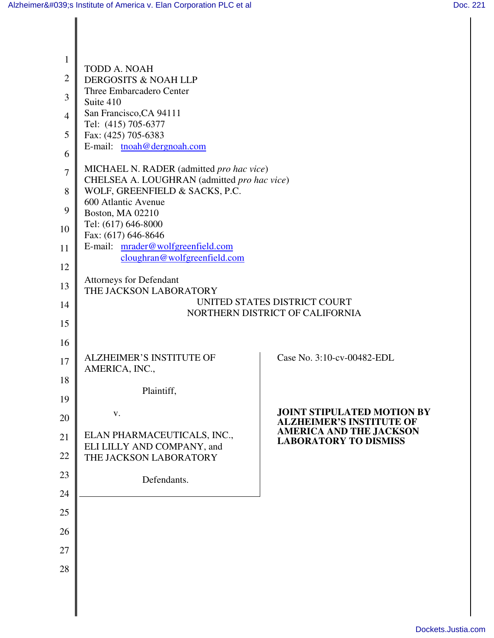| 1              |                                                                                                                            |                                                                      |  |  |
|----------------|----------------------------------------------------------------------------------------------------------------------------|----------------------------------------------------------------------|--|--|
| $\overline{2}$ | <b>TODD A. NOAH</b><br>DERGOSITS & NOAH LLP                                                                                |                                                                      |  |  |
| 3              | Three Embarcadero Center                                                                                                   |                                                                      |  |  |
| $\overline{4}$ | Suite 410<br>San Francisco, CA 94111                                                                                       |                                                                      |  |  |
| 5              | Tel: (415) 705-6377<br>Fax: (425) 705-6383                                                                                 |                                                                      |  |  |
| 6              | E-mail: tnoah@dergnoah.com                                                                                                 |                                                                      |  |  |
| 7              | MICHAEL N. RADER (admitted pro hac vice)                                                                                   |                                                                      |  |  |
| 8              | CHELSEA A. LOUGHRAN (admitted pro hac vice)<br>WOLF, GREENFIELD & SACKS, P.C.                                              |                                                                      |  |  |
| 9              | 600 Atlantic Avenue<br><b>Boston, MA 02210</b>                                                                             |                                                                      |  |  |
| 10             | Tel: (617) 646-8000                                                                                                        |                                                                      |  |  |
| 11             | Fax: (617) 646-8646<br>E-mail: mrader@wolfgreenfield.com<br>cloughran@wolfgreenfield.com<br><b>Attorneys for Defendant</b> |                                                                      |  |  |
| 12             |                                                                                                                            |                                                                      |  |  |
| 13             |                                                                                                                            |                                                                      |  |  |
| 14             | THE JACKSON LABORATORY<br>UNITED STATES DISTRICT COURT                                                                     |                                                                      |  |  |
| 15             |                                                                                                                            | NORTHERN DISTRICT OF CALIFORNIA                                      |  |  |
| 16             |                                                                                                                            |                                                                      |  |  |
| 17             | <b>ALZHEIMER'S INSTITUTE OF</b><br>AMERICA, INC.,                                                                          | Case No. 3:10-cv-00482-EDL                                           |  |  |
| 18             |                                                                                                                            |                                                                      |  |  |
| 19             | Plaintiff,                                                                                                                 |                                                                      |  |  |
| 20             | V.                                                                                                                         | <b>JOINT STIPULATED MOTION BY</b><br><b>ALZHEIMER'S INSTITUTE OF</b> |  |  |
| 21             | ELAN PHARMACEUTICALS, INC.,<br>ELI LILLY AND COMPANY, and                                                                  | <b>AMERICA AND THE JACKSON</b><br><b>LABORATORY TO DISMISS</b>       |  |  |
| 22             | THE JACKSON LABORATORY                                                                                                     |                                                                      |  |  |
| 23             | Defendants.                                                                                                                |                                                                      |  |  |
| 24             |                                                                                                                            |                                                                      |  |  |
| 25             |                                                                                                                            |                                                                      |  |  |
| 26             |                                                                                                                            |                                                                      |  |  |
| 27             |                                                                                                                            |                                                                      |  |  |
| 28             |                                                                                                                            |                                                                      |  |  |
|                |                                                                                                                            |                                                                      |  |  |